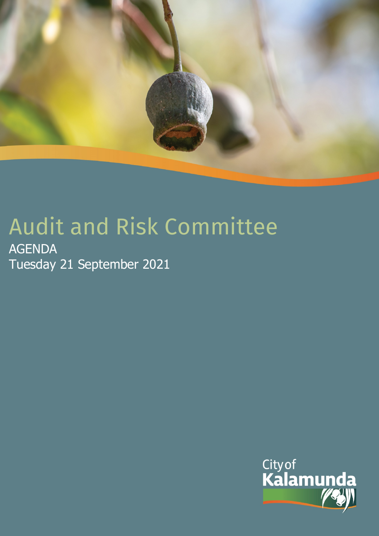

# Audit and Risk Committee

AGENDA Tuesday 21 September 2021

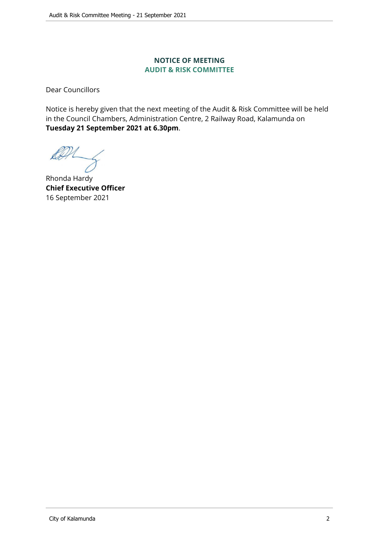#### **NOTICE OF MEETING AUDIT & RISK COMMITTEE**

Dear Councillors

Notice is hereby given that the next meeting of the Audit & Risk Committee will be held in the Council Chambers, Administration Centre, 2 Railway Road, Kalamunda on **Tuesday 21 September 2021 at 6.30pm**.

Rhonda Hardy **Chief Executive Officer** 16 September 2021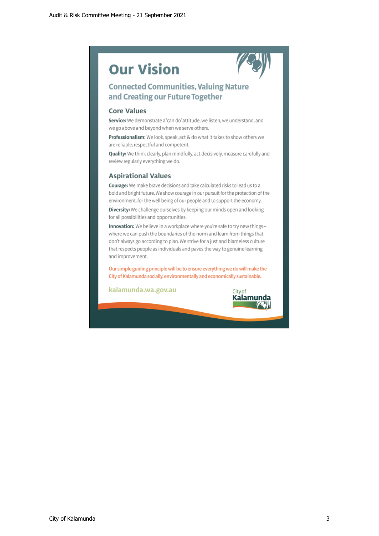# **Our Vision**



## **Connected Communities, Valuing Nature** and Creating our Future Together

#### **Core Values**

Service: We demonstrate a 'can do' attitude, we listen, we understand, and we go above and beyond when we serve others.

Professionalism: We look, speak, act & do what it takes to show others we are reliable, respectful and competent.

Quality: We think clearly, plan mindfully, act decisively, measure carefully and review regularly everything we do.

#### **Aspirational Values**

Courage: We make brave decisions and take calculated risks to lead us to a bold and bright future. We show courage in our pursuit for the protection of the environment, for the well being of our people and to support the economy.

Diversity: We challenge ourselves by keeping our minds open and looking for all possibilities and opportunities.

Innovation: We believe in a workplace where you're safe to try new thingswhere we can push the boundaries of the norm and learn from things that don't always go according to plan. We strive for a just and blameless culture that respects people as individuals and paves the way to genuine learning and improvement.

Our simple guiding principle will be to ensure everything we do will make the City of Kalamunda socially, environmentally and economically sustainable.

kalamunda.wa.gov.au

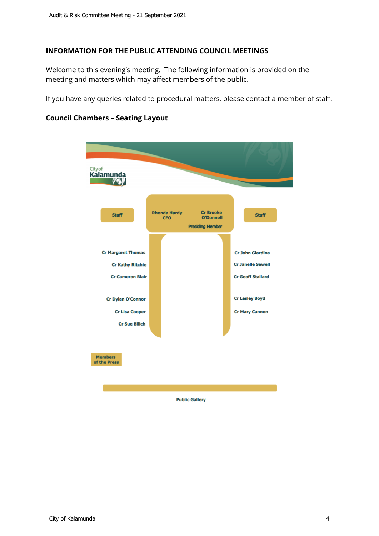#### **INFORMATION FOR THE PUBLIC ATTENDING COUNCIL MEETINGS**

Welcome to this evening's meeting. The following information is provided on the meeting and matters which may affect members of the public.

If you have any queries related to procedural matters, please contact a member of staff.

# <sub>City of</sub><br>**Kalamunda Cr Brooke Rhonda Hardy** Staff **Staff CEO O'Donnell Presiding Member Cr Margaret Thomas Cr John Giardina Cr Kathy Ritchie Cr Janelle Sewell Cr Cameron Blair Cr Geoff Stallard Cr Lesley Boyd Cr Dylan O'Connor Cr Lisa Cooper Cr Mary Cannon Cr Sue Bilich Members** of the Press **Public Gallery**

#### **Council Chambers – Seating Layout**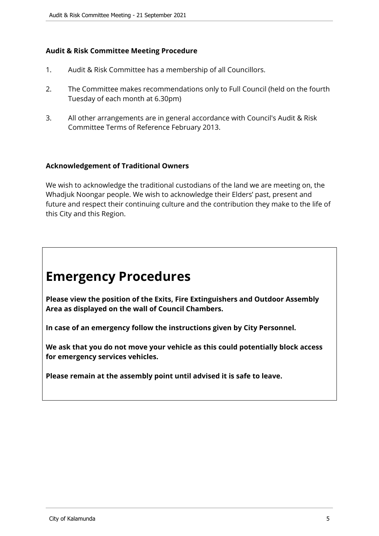#### **Audit & Risk Committee Meeting Procedure**

- 1. Audit & Risk Committee has a membership of all Councillors.
- 2. The Committee makes recommendations only to Full Council (held on the fourth Tuesday of each month at 6.30pm)
- 3. All other arrangements are in general accordance with Council's Audit & Risk Committee Terms of Reference February 2013.

#### **Acknowledgement of Traditional Owners**

We wish to acknowledge the traditional custodians of the land we are meeting on, the Whadjuk Noongar people. We wish to acknowledge their Elders' past, present and future and respect their continuing culture and the contribution they make to the life of this City and this Region.

# **Emergency Procedures**

**Please view the position of the Exits, Fire Extinguishers and Outdoor Assembly Area as displayed on the wall of Council Chambers.**

**In case of an emergency follow the instructions given by City Personnel.** 

**We ask that you do not move your vehicle as this could potentially block access for emergency services vehicles.** 

**Please remain at the assembly point until advised it is safe to leave.**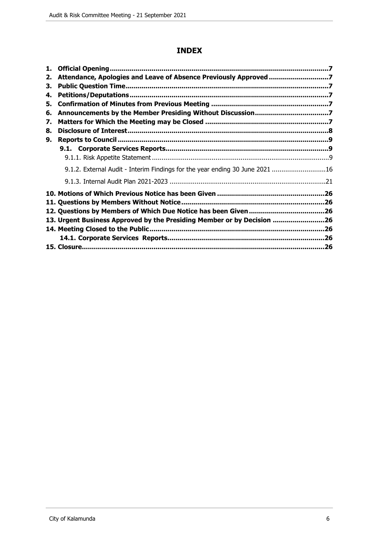#### **INDEX**

| 1. |                                                                              |  |
|----|------------------------------------------------------------------------------|--|
| 2. | Attendance, Apologies and Leave of Absence Previously Approved 7             |  |
| З. |                                                                              |  |
| 4. |                                                                              |  |
| 5. |                                                                              |  |
| 6. |                                                                              |  |
| 7. |                                                                              |  |
| 8. |                                                                              |  |
| 9. |                                                                              |  |
|    |                                                                              |  |
|    |                                                                              |  |
|    | 9.1.2. External Audit - Interim Findings for the year ending 30 June 2021 16 |  |
|    |                                                                              |  |
|    |                                                                              |  |
|    |                                                                              |  |
|    |                                                                              |  |
|    | 13. Urgent Business Approved by the Presiding Member or by Decision 26       |  |
|    |                                                                              |  |
|    |                                                                              |  |
|    |                                                                              |  |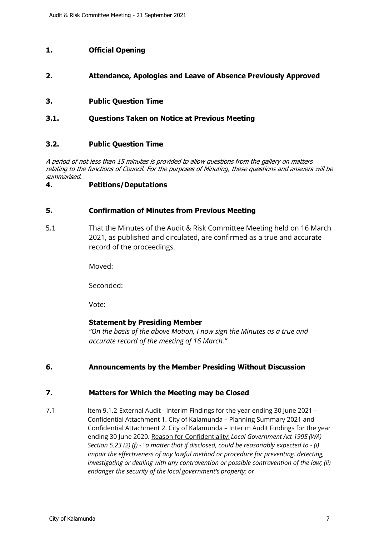#### <span id="page-6-0"></span>**1. Official Opening**

#### <span id="page-6-1"></span>**2. Attendance, Apologies and Leave of Absence Previously Approved**

#### <span id="page-6-2"></span>**3. Public Question Time**

#### **3.1. Questions Taken on Notice at Previous Meeting**

#### **3.2. Public Question Time**

*A period of not less than 15 minutes is provided to allow questions from the gallery on matters relating to the functions of Council. For the purposes of Minuting, these questions and answers will be summarised.*

#### <span id="page-6-3"></span>**4. Petitions/Deputations**

#### <span id="page-6-4"></span>**5. Confirmation of Minutes from Previous Meeting**

5.1 That the Minutes of the Audit & Risk Committee Meeting held on 16 March 2021, as published and circulated, are confirmed as a true and accurate record of the proceedings.

Moved:

Seconded:

Vote:

#### **Statement by Presiding Member**

*"On the basis of the above Motion, I now sign the Minutes as a true and accurate record of the meeting of 16 March."*

#### <span id="page-6-5"></span>**6. Announcements by the Member Presiding Without Discussion**

#### <span id="page-6-6"></span>**7. Matters for Which the Meeting may be Closed**

7.1 Item 9.1.2 External Audit - Interim Findings for the year ending 30 June 2021 -Confidential Attachment 1. City of Kalamunda – Planning Summary 2021 and Confidential Attachment 2. City of Kalamunda – Interim Audit Findings for the year ending 30 June 2020. Reason for Confidentiality: *Local Government Act 1995 (WA) Section 5.23 (2) (f) - "a matter that if disclosed, could be reasonably expected to - (i) impair the effectiveness of any lawful method or procedure for preventing, detecting, investigating or dealing with any contravention or possible contravention of the law; (ii) endanger the security of the local government's property; or*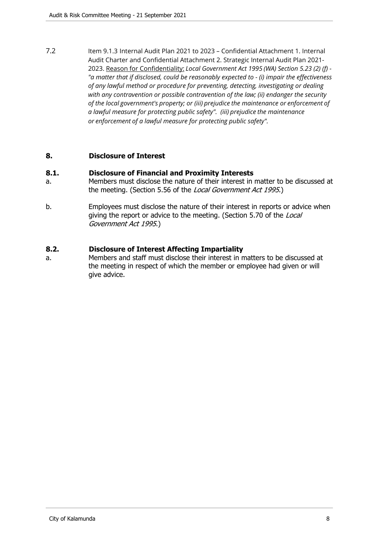7.2 Item 9.1.3 Internal Audit Plan 2021 to 2023 – Confidential Attachment 1. Internal Audit Charter and Confidential Attachment 2. Strategic Internal Audit Plan 2021- 2023. Reason for Confidentiality: *Local Government Act 1995 (WA) Section 5.23 (2) (f) - "a matter that if disclosed, could be reasonably expected to - (i) impair the effectiveness of any lawful method or procedure for preventing, detecting, investigating or dealing with any contravention or possible contravention of the law; (ii) endanger the security of the local government's property; or (iii) prejudice the maintenance or enforcement of a lawful measure for protecting public safety". (iii) prejudice the maintenance or enforcement of a lawful measure for protecting public safety".*

#### <span id="page-7-0"></span>**8. Disclosure of Interest**

#### **8.1. Disclosure of Financial and Proximity Interests**

- a. Members must disclose the nature of their interest in matter to be discussed at the meeting. (Section 5.56 of the *Local Government Act 1995*.)
- b. Employees must disclose the nature of their interest in reports or advice when giving the report or advice to the meeting. (Section 5.70 of the *Local Government Act 1995*.)

#### **8.2. Disclosure of Interest Affecting Impartiality**

a. Members and staff must disclose their interest in matters to be discussed at the meeting in respect of which the member or employee had given or will give advice.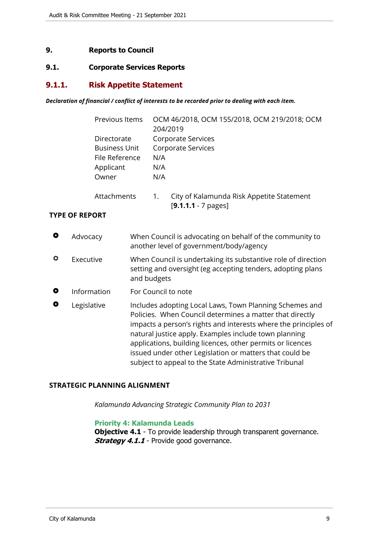#### <span id="page-8-0"></span>**9. Reports to Council**

#### <span id="page-8-1"></span>**9.1. Corporate Services Reports**

#### <span id="page-8-2"></span>**9.1.1. Risk Appetite Statement**

#### *Declaration of financial / conflict of interests to be recorded prior to dealing with each item.*

|           |                                   | Previous Items                         |                   | OCM 46/2018, OCM 155/2018, OCM 219/2018; OCM<br>204/2019                                                                                                                                                                                                                                                                                                                                                                           |
|-----------|-----------------------------------|----------------------------------------|-------------------|------------------------------------------------------------------------------------------------------------------------------------------------------------------------------------------------------------------------------------------------------------------------------------------------------------------------------------------------------------------------------------------------------------------------------------|
|           | Directorate<br>Applicant<br>Owner | <b>Business Unit</b><br>File Reference | N/A<br>N/A<br>N/A | Corporate Services<br>Corporate Services                                                                                                                                                                                                                                                                                                                                                                                           |
|           |                                   | Attachments                            | 1.                | City of Kalamunda Risk Appetite Statement<br>$[9.1.1.1 - 7$ pages]                                                                                                                                                                                                                                                                                                                                                                 |
|           | <b>TYPE OF REPORT</b>             |                                        |                   |                                                                                                                                                                                                                                                                                                                                                                                                                                    |
| $\bullet$ | Advocacy                          |                                        |                   | When Council is advocating on behalf of the community to<br>another level of government/body/agency                                                                                                                                                                                                                                                                                                                                |
| ♦         | Executive                         | and budgets                            |                   | When Council is undertaking its substantive role of direction<br>setting and oversight (eg accepting tenders, adopting plans                                                                                                                                                                                                                                                                                                       |
| $\bullet$ | Information                       |                                        |                   | For Council to note                                                                                                                                                                                                                                                                                                                                                                                                                |
| O         | Legislative                       |                                        |                   | Includes adopting Local Laws, Town Planning Schemes and<br>Policies. When Council determines a matter that directly<br>impacts a person's rights and interests where the principles of<br>natural justice apply. Examples include town planning<br>applications, building licences, other permits or licences<br>issued under other Legislation or matters that could be<br>subject to appeal to the State Administrative Tribunal |
|           |                                   |                                        |                   |                                                                                                                                                                                                                                                                                                                                                                                                                                    |

#### **STRATEGIC PLANNING ALIGNMENT**

*Kalamunda Advancing Strategic Community Plan to 2031*

#### **Priority 4: Kalamunda Leads**

**Objective 4.1** - To provide leadership through transparent governance. **Strategy 4.1.1** - Provide good governance.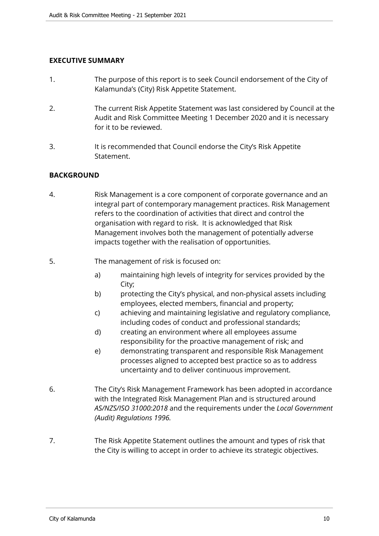#### **EXECUTIVE SUMMARY**

- 1. The purpose of this report is to seek Council endorsement of the City of Kalamunda's (City) Risk Appetite Statement.
- 2. The current Risk Appetite Statement was last considered by Council at the Audit and Risk Committee Meeting 1 December 2020 and it is necessary for it to be reviewed.
- 3. It is recommended that Council endorse the City's Risk Appetite **Statement**

#### **BACKGROUND**

- 4. Risk Management is a core component of corporate governance and an integral part of contemporary management practices. Risk Management refers to the coordination of activities that direct and control the organisation with regard to risk. It is acknowledged that Risk Management involves both the management of potentially adverse impacts together with the realisation of opportunities.
- 5. The management of risk is focused on:
	- a) maintaining high levels of integrity for services provided by the City;
	- b) protecting the City's physical, and non-physical assets including employees, elected members, financial and property;
	- c) achieving and maintaining legislative and regulatory compliance, including codes of conduct and professional standards;
	- d) creating an environment where all employees assume responsibility for the proactive management of risk; and
	- e) demonstrating transparent and responsible Risk Management processes aligned to accepted best practice so as to address uncertainty and to deliver continuous improvement.
- 6. The City's Risk Management Framework has been adopted in accordance with the Integrated Risk Management Plan and is structured around *AS/NZS/ISO 31000:2018* and the requirements under the *Local Government (Audit) Regulations 1996.*
- 7. The Risk Appetite Statement outlines the amount and types of risk that the City is willing to accept in order to achieve its strategic objectives.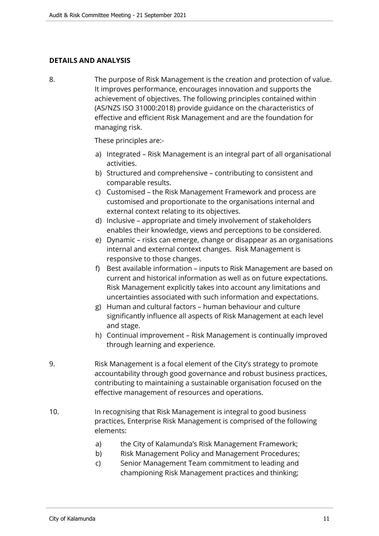#### **DETAILS AND ANALYSIS**

8. The purpose of Risk Management is the creation and protection of value. It improves performance, encourages innovation and supports the achievement of objectives. The following principles contained within (AS/NZS ISO 31000:2018) provide guidance on the characteristics of effective and efficient Risk Management and are the foundation for managing risk.

These principles are:-

- a) Integrated Risk Management is an integral part of all organisational activities.
- b) Structured and comprehensive contributing to consistent and comparable results.
- c) Customised the Risk Management Framework and process are customised and proportionate to the organisations internal and external context relating to its objectives.
- d) Inclusive appropriate and timely involvement of stakeholders enables their knowledge, views and perceptions to be considered.
- e) Dynamic risks can emerge, change or disappear as an organisations internal and external context changes. Risk Management is responsive to those changes.
- f) Best available information inputs to Risk Management are based on current and historical information as well as on future expectations. Risk Management explicitly takes into account any limitations and uncertainties associated with such information and expectations.
- g) Human and cultural factors human behaviour and culture significantly influence all aspects of Risk Management at each level and stage.
- h) Continual improvement Risk Management is continually improved through learning and experience.
- 9. Risk Management is a focal element of the City's strategy to promote accountability through good governance and robust business practices, contributing to maintaining a sustainable organisation focused on the effective management of resources and operations.
- 10. In recognising that Risk Management is integral to good business practices, Enterprise Risk Management is comprised of the following elements:
	- a) the City of Kalamunda's Risk Management Framework;
	- b) Risk Management Policy and Management Procedures;
	- c) Senior Management Team commitment to leading and championing Risk Management practices and thinking;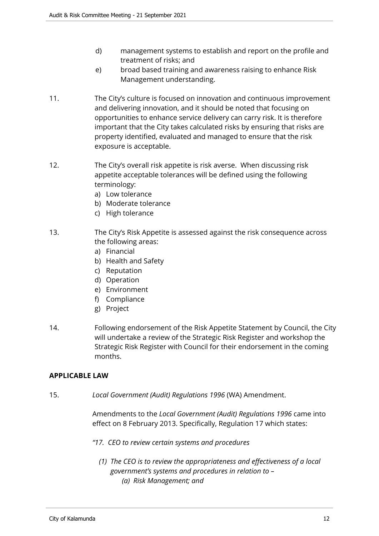- d) management systems to establish and report on the profile and treatment of risks; and
- e) broad based training and awareness raising to enhance Risk Management understanding.
- 11. The City's culture is focused on innovation and continuous improvement and delivering innovation, and it should be noted that focusing on opportunities to enhance service delivery can carry risk. It is therefore important that the City takes calculated risks by ensuring that risks are property identified, evaluated and managed to ensure that the risk exposure is acceptable.
- 12. The City's overall risk appetite is risk averse. When discussing risk appetite acceptable tolerances will be defined using the following terminology:
	- a) Low tolerance
	- b) Moderate tolerance
	- c) High tolerance
- 13. The City's Risk Appetite is assessed against the risk consequence across the following areas:
	- a) Financial
	- b) Health and Safety
	- c) Reputation
	- d) Operation
	- e) Environment
	- f) Compliance
	- g) Project
- 14. Following endorsement of the Risk Appetite Statement by Council, the City will undertake a review of the Strategic Risk Register and workshop the Strategic Risk Register with Council for their endorsement in the coming months.

#### **APPLICABLE LAW**

15. *Local Government (Audit) Regulations 1996* (WA) Amendment.

Amendments to the *Local Government (Audit) Regulations 1996* came into effect on 8 February 2013. Specifically, Regulation 17 which states:

- *"17. CEO to review certain systems and procedures*
	- *(1) The CEO is to review the appropriateness and effectiveness of a local government's systems and procedures in relation to – (a) Risk Management; and*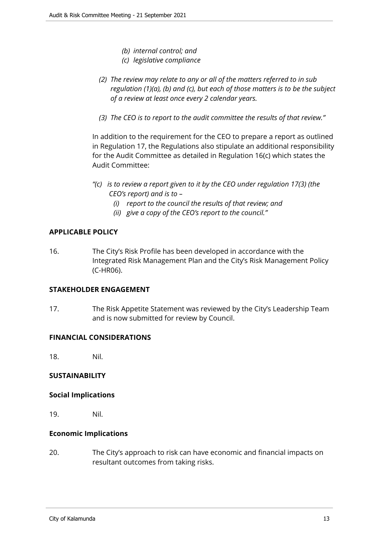- *(b) internal control; and*
- *(c) legislative compliance*
- *(2) The review may relate to any or all of the matters referred to in sub regulation (1)(a), (b) and (c), but each of those matters is to be the subject of a review at least once every 2 calendar years.*
- *(3) The CEO is to report to the audit committee the results of that review."*

In addition to the requirement for the CEO to prepare a report as outlined in Regulation 17, the Regulations also stipulate an additional responsibility for the Audit Committee as detailed in Regulation 16(c) which states the Audit Committee:

- *"(c) is to review a report given to it by the CEO under regulation 17(3) (the CEO's report) and is to –* 
	- *(i) report to the council the results of that review; and*
	- *(ii) give a copy of the CEO's report to the council."*

#### **APPLICABLE POLICY**

16. The City's Risk Profile has been developed in accordance with the Integrated Risk Management Plan and the City's Risk Management Policy (C-HR06).

#### **STAKEHOLDER ENGAGEMENT**

17. The Risk Appetite Statement was reviewed by the City's Leadership Team and is now submitted for review by Council.

#### **FINANCIAL CONSIDERATIONS**

18. Nil.

#### **SUSTAINABILITY**

#### **Social Implications**

19. Nil.

#### **Economic Implications**

20. The City's approach to risk can have economic and financial impacts on resultant outcomes from taking risks.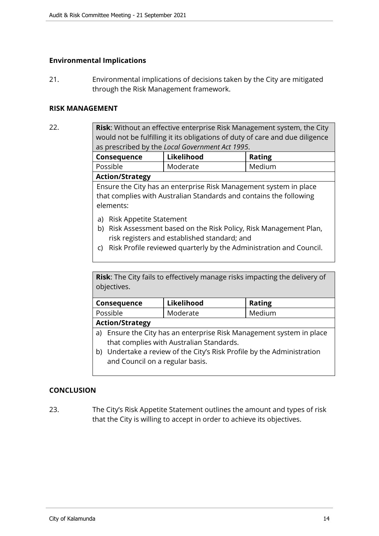#### **Environmental Implications**

21. Environmental implications of decisions taken by the City are mitigated through the Risk Management framework.

#### **RISK MANAGEMENT**

22. **Risk**: Without an effective enterprise Risk Management system, the City would not be fulfilling it its obligations of duty of care and due diligence as prescribed by the *Local Government Act 1995*.

| Consequence            | Likelihood | <b>Rating</b> |  |
|------------------------|------------|---------------|--|
| Possible               | Moderate   | Medium        |  |
| <b>Action/Strategy</b> |            |               |  |

Ensure the City has an enterprise Risk Management system in place that complies with Australian Standards and contains the following elements:

- a) Risk Appetite Statement
- b) Risk Assessment based on the Risk Policy, Risk Management Plan, risk registers and established standard; and
- c) Risk Profile reviewed quarterly by the Administration and Council.

**Risk**: The City fails to effectively manage risks impacting the delivery of objectives.

| Consequence           | Likelihood | <b>Rating</b> |
|-----------------------|------------|---------------|
| Possible              | Moderate   | Medium        |
| $h$ ction $c$ tuntomu |            |               |

**Action/Strategy**

- a) Ensure the City has an enterprise Risk Management system in place that complies with Australian Standards.
- b) Undertake a review of the City's Risk Profile by the Administration and Council on a regular basis.

#### **CONCLUSION**

23. The City's Risk Appetite Statement outlines the amount and types of risk that the City is willing to accept in order to achieve its objectives.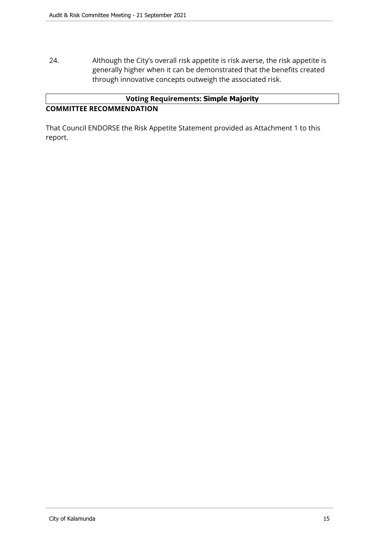24. Although the City's overall risk appetite is risk averse, the risk appetite is generally higher when it can be demonstrated that the benefits created through innovative concepts outweigh the associated risk.

#### **Voting Requirements: Simple Majority COMMITTEE RECOMMENDATION**

That Council ENDORSE the Risk Appetite Statement provided as Attachment 1 to this report.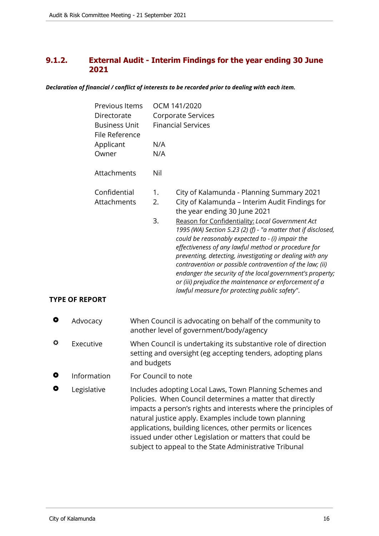#### <span id="page-15-0"></span>**9.1.2. External Audit - Interim Findings for the year ending 30 June 2021**

*Declaration of financial / conflict of interests to be recorded prior to dealing with each item.*

|           | Previous Items<br>Directorate<br><b>Business Unit</b><br>File Reference<br>Applicant<br>Owner | N/A<br>N/A                                                                                                                                  | OCM 141/2020<br><b>Corporate Services</b><br><b>Financial Services</b>                                                                                                                                                                                                                                                                                                                                                                                                                                                                                                                                                                                      |
|-----------|-----------------------------------------------------------------------------------------------|---------------------------------------------------------------------------------------------------------------------------------------------|-------------------------------------------------------------------------------------------------------------------------------------------------------------------------------------------------------------------------------------------------------------------------------------------------------------------------------------------------------------------------------------------------------------------------------------------------------------------------------------------------------------------------------------------------------------------------------------------------------------------------------------------------------------|
|           | Attachments                                                                                   | Nil                                                                                                                                         |                                                                                                                                                                                                                                                                                                                                                                                                                                                                                                                                                                                                                                                             |
|           | Confidential<br>Attachments<br><b>TYPE OF REPORT</b>                                          | 1.<br>2.<br>3.                                                                                                                              | City of Kalamunda - Planning Summary 2021<br>City of Kalamunda - Interim Audit Findings for<br>the year ending 30 June 2021<br>Reason for Confidentiality: Local Government Act<br>1995 (WA) Section 5.23 (2) (f) - "a matter that if disclosed,<br>could be reasonably expected to - (i) impair the<br>effectiveness of any lawful method or procedure for<br>preventing, detecting, investigating or dealing with any<br>contravention or possible contravention of the law; (ii)<br>endanger the security of the local government's property;<br>or (iii) prejudice the maintenance or enforcement of a<br>lawful measure for protecting public safety". |
| $\bullet$ | Advocacy                                                                                      |                                                                                                                                             | When Council is advocating on behalf of the community to<br>another level of government/body/agency                                                                                                                                                                                                                                                                                                                                                                                                                                                                                                                                                         |
| ۰         | Executive                                                                                     | When Council is undertaking its substantive role of direction<br>setting and oversight (eg accepting tenders, adopting plans<br>and budgets |                                                                                                                                                                                                                                                                                                                                                                                                                                                                                                                                                                                                                                                             |
| O         | Information                                                                                   | For Council to note                                                                                                                         |                                                                                                                                                                                                                                                                                                                                                                                                                                                                                                                                                                                                                                                             |
|           | Legislative                                                                                   |                                                                                                                                             | Includes adopting Local Laws, Town Planning Schemes and<br>Policies. When Council determines a matter that directly<br>impacts a person's rights and interests where the principles of<br>natural justice apply. Examples include town planning<br>applications, building licences, other permits or licences<br>issued under other Legislation or matters that could be<br>subject to appeal to the State Administrative Tribunal                                                                                                                                                                                                                          |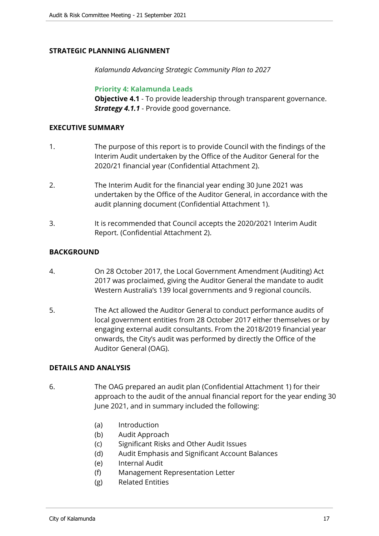#### **STRATEGIC PLANNING ALIGNMENT**

*Kalamunda Advancing Strategic Community Plan to 2027*

**Priority 4: Kalamunda Leads**

**Objective 4.1** - To provide leadership through transparent governance. *Strategy 4.1.1* - Provide good governance.

#### **EXECUTIVE SUMMARY**

- 1. The purpose of this report is to provide Council with the findings of the Interim Audit undertaken by the Office of the Auditor General for the 2020/21 financial year (Confidential Attachment 2).
- 2. The Interim Audit for the financial year ending 30 June 2021 was undertaken by the Office of the Auditor General, in accordance with the audit planning document (Confidential Attachment 1).
- 3. It is recommended that Council accepts the 2020/2021 Interim Audit Report. (Confidential Attachment 2).

#### **BACKGROUND**

- 4. On 28 October 2017, the Local Government Amendment (Auditing) Act 2017 was proclaimed, giving the Auditor General the mandate to audit Western Australia's 139 local governments and 9 regional councils.
- 5. The Act allowed the Auditor General to conduct performance audits of local government entities from 28 October 2017 either themselves or by engaging external audit consultants. From the 2018/2019 financial year onwards, the City's audit was performed by directly the Office of the Auditor General (OAG).

#### **DETAILS AND ANALYSIS**

- 6. The OAG prepared an audit plan (Confidential Attachment 1) for their approach to the audit of the annual financial report for the year ending 30 June 2021, and in summary included the following:
	- (a) Introduction
	- (b) Audit Approach
	- (c) Significant Risks and Other Audit Issues
	- (d) Audit Emphasis and Significant Account Balances
	- (e) Internal Audit
	- (f) Management Representation Letter
	- (g) Related Entities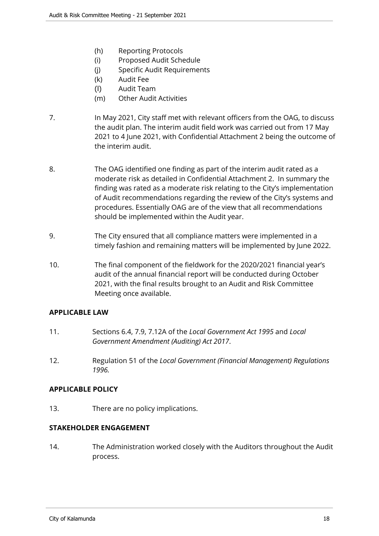- (h) Reporting Protocols
- (i) Proposed Audit Schedule
- (j) Specific Audit Requirements
- (k) Audit Fee
- (l) Audit Team
- (m) Other Audit Activities
- 7. In May 2021, City staff met with relevant officers from the OAG, to discuss the audit plan. The interim audit field work was carried out from 17 May 2021 to 4 June 2021, with Confidential Attachment 2 being the outcome of the interim audit.
- 8. The OAG identified one finding as part of the interim audit rated as a moderate risk as detailed in Confidential Attachment 2. In summary the finding was rated as a moderate risk relating to the City's implementation of Audit recommendations regarding the review of the City's systems and procedures. Essentially OAG are of the view that all recommendations should be implemented within the Audit year.
- 9. The City ensured that all compliance matters were implemented in a timely fashion and remaining matters will be implemented by June 2022.
- 10. The final component of the fieldwork for the 2020/2021 financial year's audit of the annual financial report will be conducted during October 2021, with the final results brought to an Audit and Risk Committee Meeting once available.

#### **APPLICABLE LAW**

- 11. Sections 6.4, 7.9, 7.12A of the *Local Government Act 1995* and *Local Government Amendment (Auditing) Act 2017*.
- 12. Regulation 51 of the *Local Government (Financial Management) Regulations 1996.*

#### **APPLICABLE POLICY**

13. There are no policy implications.

#### **STAKEHOLDER ENGAGEMENT**

14. The Administration worked closely with the Auditors throughout the Audit process.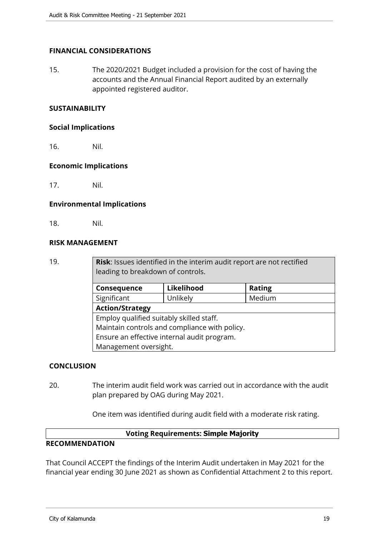#### **FINANCIAL CONSIDERATIONS**

15. The 2020/2021 Budget included a provision for the cost of having the accounts and the Annual Financial Report audited by an externally appointed registered auditor.

#### **SUSTAINABILITY**

#### **Social Implications**

16. Nil.

#### **Economic Implications**

17. Nil.

#### **Environmental Implications**

18. Nil.

#### **RISK MANAGEMENT**

19. **Risk**: Issues identified in the interim audit report are not rectified leading to breakdown of controls.

| Consequence                                   | Likelihood | <b>Rating</b> |  |  |  |
|-----------------------------------------------|------------|---------------|--|--|--|
| Significant                                   | Unlikely   | Medium        |  |  |  |
| <b>Action/Strategy</b>                        |            |               |  |  |  |
| Employ qualified suitably skilled staff.      |            |               |  |  |  |
| Maintain controls and compliance with policy. |            |               |  |  |  |
| Ensure an effective internal audit program.   |            |               |  |  |  |
| Management oversight.                         |            |               |  |  |  |

#### **CONCLUSION**

20. The interim audit field work was carried out in accordance with the audit plan prepared by OAG during May 2021.

One item was identified during audit field with a moderate risk rating.

#### **Voting Requirements: Simple Majority**

#### **RECOMMENDATION**

That Council ACCEPT the findings of the Interim Audit undertaken in May 2021 for the financial year ending 30 June 2021 as shown as Confidential Attachment 2 to this report.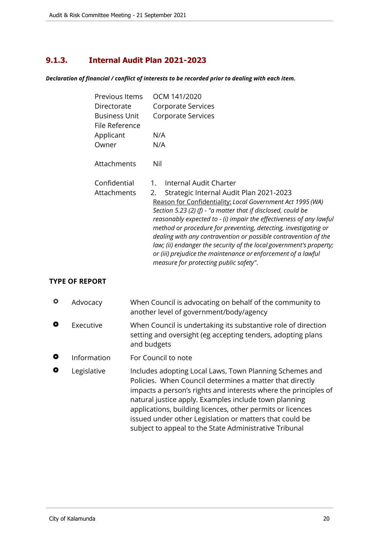# <span id="page-19-0"></span>**9.1.3. Internal Audit Plan 2021-2023**

*Declaration of financial / conflict of interests to be recorded prior to dealing with each item.*

| Previous Items              | OCM 141/2020                                                                                                                                                                                                                                                                                                                                                                                                                                                                                                                                                                                               |
|-----------------------------|------------------------------------------------------------------------------------------------------------------------------------------------------------------------------------------------------------------------------------------------------------------------------------------------------------------------------------------------------------------------------------------------------------------------------------------------------------------------------------------------------------------------------------------------------------------------------------------------------------|
| Directorate                 | Corporate Services                                                                                                                                                                                                                                                                                                                                                                                                                                                                                                                                                                                         |
| Business Unit               | Corporate Services                                                                                                                                                                                                                                                                                                                                                                                                                                                                                                                                                                                         |
| File Reference              |                                                                                                                                                                                                                                                                                                                                                                                                                                                                                                                                                                                                            |
| Applicant                   | N/A                                                                                                                                                                                                                                                                                                                                                                                                                                                                                                                                                                                                        |
| Owner                       | N/A                                                                                                                                                                                                                                                                                                                                                                                                                                                                                                                                                                                                        |
| Attachments                 | Nil                                                                                                                                                                                                                                                                                                                                                                                                                                                                                                                                                                                                        |
| Confidential<br>Attachments | Internal Audit Charter<br>1.<br>Strategic Internal Audit Plan 2021-2023<br>2.<br>Reason for Confidentiality: Local Government Act 1995 (WA)<br>Section 5.23 (2) (f) - "a matter that if disclosed, could be<br>reasonably expected to - (i) impair the effectiveness of any lawful<br>method or procedure for preventing, detecting, investigating or<br>dealing with any contravention or possible contravention of the<br>law; (ii) endanger the security of the local government's property;<br>or (iii) prejudice the maintenance or enforcement of a lawful<br>measure for protecting public safety". |

## **TYPE OF REPORT**

| ♦         | Advocacy    | When Council is advocating on behalf of the community to<br>another level of government/body/agency                                                                                                                                                                                                                                                                                                                                |
|-----------|-------------|------------------------------------------------------------------------------------------------------------------------------------------------------------------------------------------------------------------------------------------------------------------------------------------------------------------------------------------------------------------------------------------------------------------------------------|
| O         | Executive   | When Council is undertaking its substantive role of direction<br>setting and oversight (eg accepting tenders, adopting plans<br>and budgets                                                                                                                                                                                                                                                                                        |
| $\bullet$ | Information | For Council to note                                                                                                                                                                                                                                                                                                                                                                                                                |
| O         | Legislative | Includes adopting Local Laws, Town Planning Schemes and<br>Policies. When Council determines a matter that directly<br>impacts a person's rights and interests where the principles of<br>natural justice apply. Examples include town planning<br>applications, building licences, other permits or licences<br>issued under other Legislation or matters that could be<br>subject to appeal to the State Administrative Tribunal |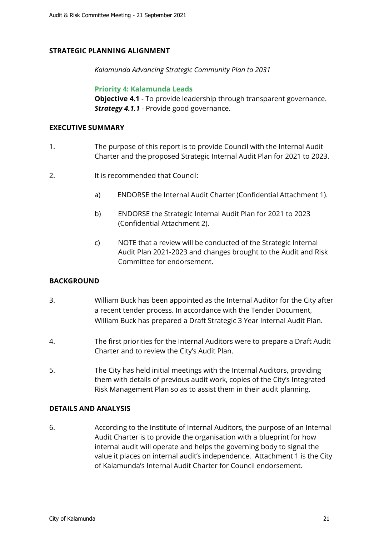#### **STRATEGIC PLANNING ALIGNMENT**

*Kalamunda Advancing Strategic Community Plan to 2031*

**Priority 4: Kalamunda Leads**

**Objective 4.1** - To provide leadership through transparent governance. *Strategy 4.1.1* - Provide good governance.

#### **EXECUTIVE SUMMARY**

- 1. The purpose of this report is to provide Council with the Internal Audit Charter and the proposed Strategic Internal Audit Plan for 2021 to 2023.
- 2. It is recommended that Council:
	- a) ENDORSE the Internal Audit Charter (Confidential Attachment 1).
	- b) ENDORSE the Strategic Internal Audit Plan for 2021 to 2023 (Confidential Attachment 2).
	- c) NOTE that a review will be conducted of the Strategic Internal Audit Plan 2021-2023 and changes brought to the Audit and Risk Committee for endorsement.

#### **BACKGROUND**

- 3. William Buck has been appointed as the Internal Auditor for the City after a recent tender process. In accordance with the Tender Document, William Buck has prepared a Draft Strategic 3 Year Internal Audit Plan.
- 4. The first priorities for the Internal Auditors were to prepare a Draft Audit Charter and to review the City's Audit Plan.
- 5. The City has held initial meetings with the Internal Auditors, providing them with details of previous audit work, copies of the City's Integrated Risk Management Plan so as to assist them in their audit planning.

#### **DETAILS AND ANALYSIS**

6. According to the Institute of Internal Auditors, the purpose of an Internal Audit Charter is to provide the organisation with a blueprint for how internal audit will operate and helps the governing body to signal the value it places on internal audit's independence. Attachment 1 is the City of Kalamunda's Internal Audit Charter for Council endorsement.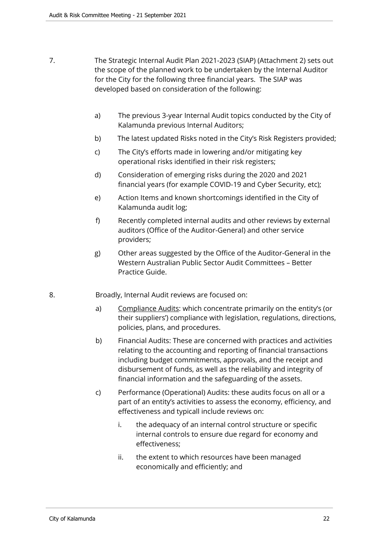- 7. The Strategic Internal Audit Plan 2021-2023 (SIAP) (Attachment 2) sets out the scope of the planned work to be undertaken by the Internal Auditor for the City for the following three financial years. The SIAP was developed based on consideration of the following:
	- a) The previous 3-year Internal Audit topics conducted by the City of Kalamunda previous Internal Auditors;
	- b) The latest updated Risks noted in the City's Risk Registers provided;
	- c) The City's efforts made in lowering and/or mitigating key operational risks identified in their risk registers;
	- d) Consideration of emerging risks during the 2020 and 2021 financial years (for example COVID-19 and Cyber Security, etc);
	- e) Action Items and known shortcomings identified in the City of Kalamunda audit log;
	- f) Recently completed internal audits and other reviews by external auditors (Office of the Auditor-General) and other service providers;
	- g) Other areas suggested by the Office of the Auditor-General in the Western Australian Public Sector Audit Committees – Better Practice Guide.
- 8. Broadly, Internal Audit reviews are focused on:
	- a) Compliance Audits: which concentrate primarily on the entity's (or their suppliers') compliance with legislation, regulations, directions, policies, plans, and procedures.
	- b) Financial Audits: These are concerned with practices and activities relating to the accounting and reporting of financial transactions including budget commitments, approvals, and the receipt and disbursement of funds, as well as the reliability and integrity of financial information and the safeguarding of the assets.
	- c) Performance (Operational) Audits: these audits focus on all or a part of an entity's activities to assess the economy, efficiency, and effectiveness and typicall include reviews on:
		- i. the adequacy of an internal control structure or specific internal controls to ensure due regard for economy and effectiveness;
		- ii. the extent to which resources have been managed economically and efficiently; and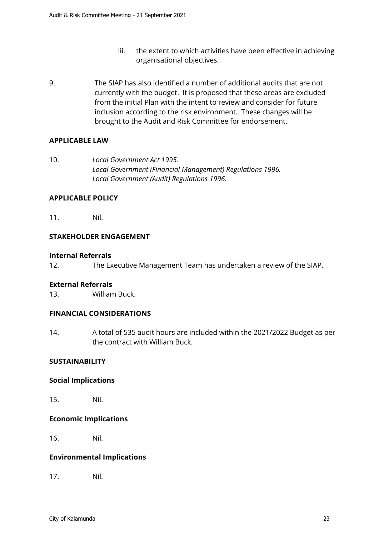- iii. the extent to which activities have been effective in achieving organisational objectives.
- 9. The SIAP has also identified a number of additional audits that are not currently with the budget. It is proposed that these areas are excluded from the initial Plan with the intent to review and consider for future inclusion according to the risk environment. These changes will be brought to the Audit and Risk Committee for endorsement.

#### **APPLICABLE LAW**

10. *Local Government Act 1995. Local Government (Financial Management) Regulations 1996. Local Government (Audit) Regulations 1996.*

#### **APPLICABLE POLICY**

11. Nil.

#### **STAKEHOLDER ENGAGEMENT**

#### **Internal Referrals**

12. The Executive Management Team has undertaken a review of the SIAP.

#### **External Referrals**

13. William Buck.

#### **FINANCIAL CONSIDERATIONS**

14. A total of 535 audit hours are included within the 2021/2022 Budget as per the contract with William Buck.

#### **SUSTAINABILITY**

#### **Social Implications**

15. Nil.

#### **Economic Implications**

16. Nil.

#### **Environmental Implications**

17. Nil.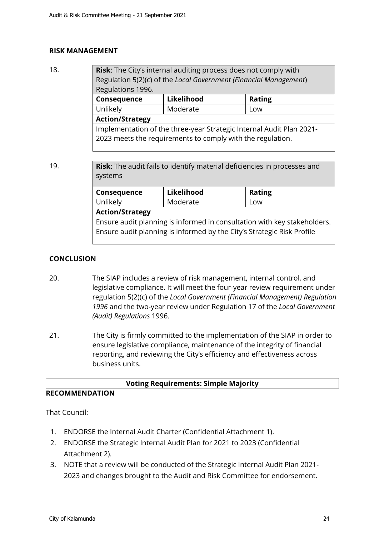#### **RISK MANAGEMENT**

| 18. | Risk: The City's internal auditing process does not comply with<br>Regulation 5(2)(c) of the Local Government (Financial Management)<br>Regulations 1996. |            |               |  |  |
|-----|-----------------------------------------------------------------------------------------------------------------------------------------------------------|------------|---------------|--|--|
|     | Consequence                                                                                                                                               | Likelihood | <b>Rating</b> |  |  |
|     | Unlikely                                                                                                                                                  | Moderate   | Low           |  |  |
|     | <b>Action/Strategy</b>                                                                                                                                    |            |               |  |  |
|     | Implementation of the three-year Strategic Internal Audit Plan 2021-                                                                                      |            |               |  |  |
|     | 2023 meets the requirements to comply with the regulation.                                                                                                |            |               |  |  |

19. **Risk**: The audit fails to identify material deficiencies in processes and systems

| Consequence                                                              | Likelihood | <b>Rating</b> |  |  |
|--------------------------------------------------------------------------|------------|---------------|--|--|
| Unlikely                                                                 | Moderate   | Low           |  |  |
| <b>Action/Strategy</b>                                                   |            |               |  |  |
| Ensure audit planning is informed in consultation with key stakeholders. |            |               |  |  |
| Ensure audit planning is informed by the City's Strategic Risk Profile   |            |               |  |  |
|                                                                          |            |               |  |  |

#### **CONCLUSION**

- 20. The SIAP includes a review of risk management, internal control, and legislative compliance. It will meet the four-year review requirement under regulation 5(2)(c) of the *Local Government (Financial Management) Regulation 1996* and the two-year review under Regulation 17 of the *Local Government (Audit) Regulations* 1996.
- 21. The City is firmly committed to the implementation of the SIAP in order to ensure legislative compliance, maintenance of the integrity of financial reporting, and reviewing the City's efficiency and effectiveness across business units.

| <b>Voting Requirements: Simple Majority</b> |  |
|---------------------------------------------|--|
|                                             |  |

## **RECOMMENDATION**

That Council:

- 1. ENDORSE the Internal Audit Charter (Confidential Attachment 1).
- 2. ENDORSE the Strategic Internal Audit Plan for 2021 to 2023 (Confidential Attachment 2).
- 3. NOTE that a review will be conducted of the Strategic Internal Audit Plan 2021- 2023 and changes brought to the Audit and Risk Committee for endorsement.